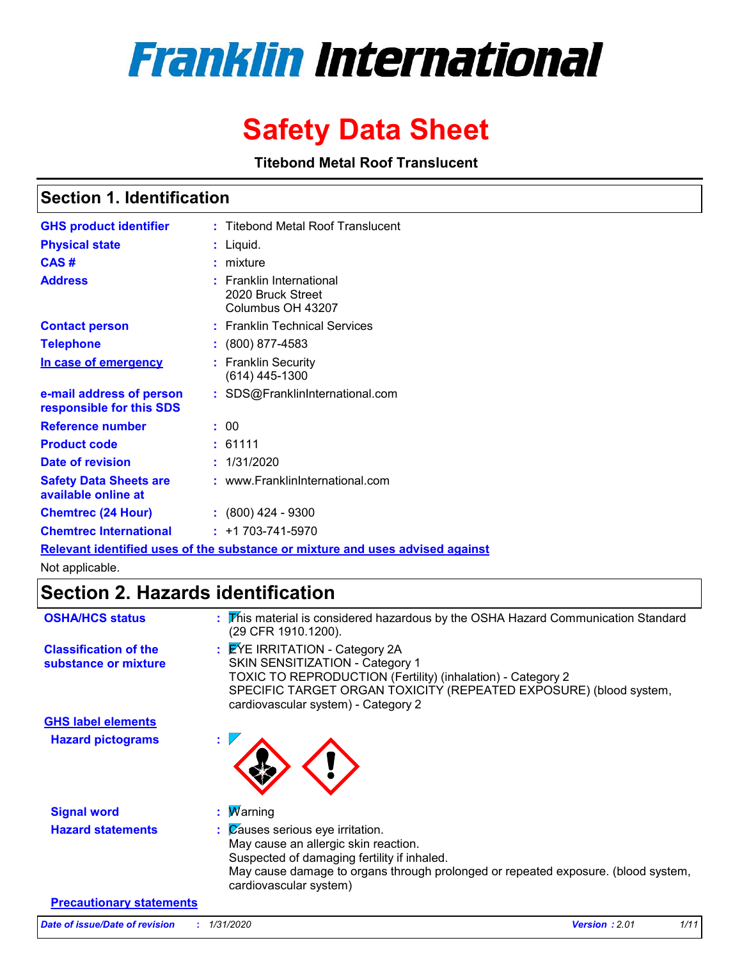# **Franklin International**

## **Safety Data Sheet**

**Titebond Metal Roof Translucent**

### **Section 1. Identification**

| <b>GHS product identifier</b>                        |  | : Titebond Metal Roof Translucent                                  |  |
|------------------------------------------------------|--|--------------------------------------------------------------------|--|
| <b>Physical state</b>                                |  | Liquid.                                                            |  |
| CAS#                                                 |  | mixture                                                            |  |
| <b>Address</b>                                       |  | : Franklin International<br>2020 Bruck Street<br>Columbus OH 43207 |  |
| <b>Contact person</b>                                |  | : Franklin Technical Services                                      |  |
| <b>Telephone</b>                                     |  | $: (800) 877 - 4583$                                               |  |
| In case of emergency                                 |  | <b>Franklin Security</b><br>(614) 445-1300                         |  |
| e-mail address of person<br>responsible for this SDS |  | : SDS@FranklinInternational.com                                    |  |
| <b>Reference number</b>                              |  | : 00                                                               |  |
| <b>Product code</b>                                  |  | : 61111                                                            |  |
| Date of revision                                     |  | : 1/31/2020                                                        |  |
| <b>Safety Data Sheets are</b><br>available online at |  | : www.FranklinInternational.com                                    |  |
| <b>Chemtrec (24 Hour)</b>                            |  | $: (800)$ 424 - 9300                                               |  |
| <b>Chemtrec International</b>                        |  | $: +1703 - 741 - 5970$                                             |  |
|                                                      |  |                                                                    |  |

**Relevant identified uses of the substance or mixture and uses advised against** Not applicable.

### **Section 2. Hazards identification**

| <b>OSHA/HCS status</b>                               | : This material is considered hazardous by the OSHA Hazard Communication Standard<br>(29 CFR 1910.1200).                                                                                                                                          |
|------------------------------------------------------|---------------------------------------------------------------------------------------------------------------------------------------------------------------------------------------------------------------------------------------------------|
| <b>Classification of the</b><br>substance or mixture | : EYE IRRITATION - Category 2A<br>SKIN SENSITIZATION - Category 1<br>TOXIC TO REPRODUCTION (Fertility) (inhalation) - Category 2<br>SPECIFIC TARGET ORGAN TOXICITY (REPEATED EXPOSURE) (blood system,<br>cardiovascular system) - Category 2      |
| <b>GHS label elements</b>                            |                                                                                                                                                                                                                                                   |
| <b>Hazard pictograms</b>                             |                                                                                                                                                                                                                                                   |
| <b>Signal word</b>                                   | : $M$ arning                                                                                                                                                                                                                                      |
| <b>Hazard statements</b>                             | $\mathcal{C}$ auses serious eye irritation.<br>May cause an allergic skin reaction.<br>Suspected of damaging fertility if inhaled.<br>May cause damage to organs through prolonged or repeated exposure. (blood system,<br>cardiovascular system) |
| <b>Precautionary statements</b>                      |                                                                                                                                                                                                                                                   |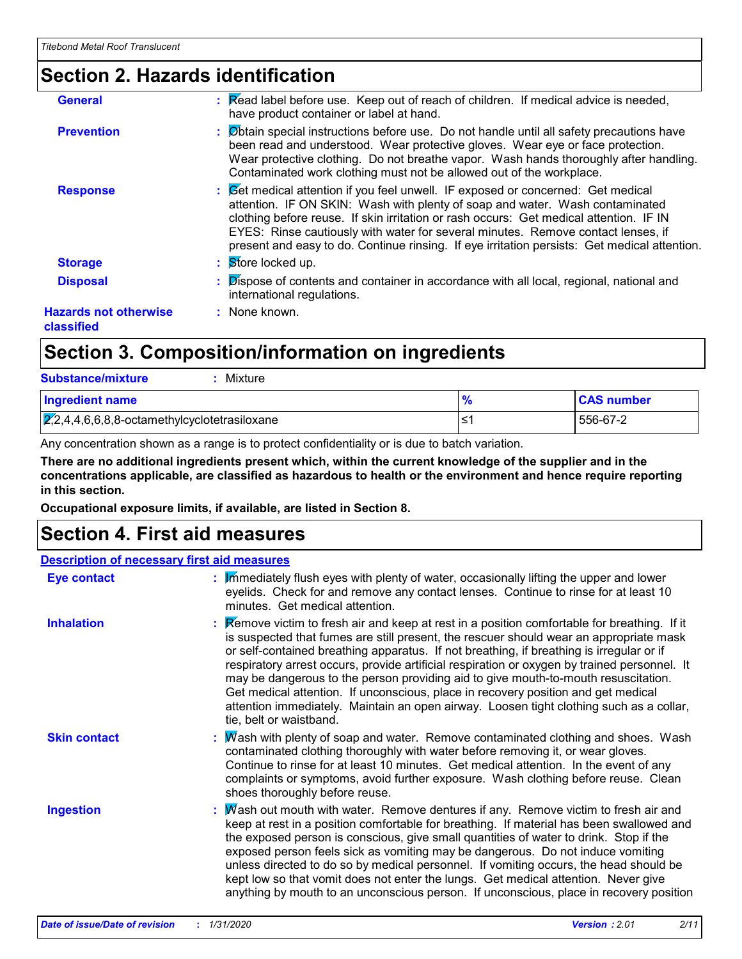### **Section 2. Hazards identification**

| <b>General</b>                             | : Read label before use. Keep out of reach of children. If medical advice is needed,<br>have product container or label at hand.                                                                                                                                                                                                                                                                                                               |
|--------------------------------------------|------------------------------------------------------------------------------------------------------------------------------------------------------------------------------------------------------------------------------------------------------------------------------------------------------------------------------------------------------------------------------------------------------------------------------------------------|
| <b>Prevention</b>                          | : Øbtain special instructions before use. Do not handle until all safety precautions have<br>been read and understood. Wear protective gloves. Wear eye or face protection.<br>Wear protective clothing. Do not breathe vapor. Wash hands thoroughly after handling.<br>Contaminated work clothing must not be allowed out of the workplace.                                                                                                   |
| <b>Response</b>                            | : Get medical attention if you feel unwell. IF exposed or concerned: Get medical<br>attention. IF ON SKIN: Wash with plenty of soap and water. Wash contaminated<br>clothing before reuse. If skin irritation or rash occurs: Get medical attention. IF IN<br>EYES: Rinse cautiously with water for several minutes. Remove contact lenses, if<br>present and easy to do. Continue rinsing. If eye irritation persists: Get medical attention. |
| <b>Storage</b>                             | $\mathbf{S}$ Store locked up.                                                                                                                                                                                                                                                                                                                                                                                                                  |
| <b>Disposal</b>                            | Dispose of contents and container in accordance with all local, regional, national and<br>international regulations.                                                                                                                                                                                                                                                                                                                           |
| <b>Hazards not otherwise</b><br>classified | : None known.                                                                                                                                                                                                                                                                                                                                                                                                                                  |
|                                            |                                                                                                                                                                                                                                                                                                                                                                                                                                                |

### **Section 3. Composition/information on ingredients**

| <b>Substance/mixture</b><br>Mixture                    |   |                   |
|--------------------------------------------------------|---|-------------------|
| <b>Ingredient name</b>                                 |   | <b>CAS number</b> |
| $\sqrt{2,2,4,4,6,6,8,8}$ -octamethylcyclotetrasiloxane | ≃ | 556-67-2          |

Any concentration shown as a range is to protect confidentiality or is due to batch variation.

**There are no additional ingredients present which, within the current knowledge of the supplier and in the concentrations applicable, are classified as hazardous to health or the environment and hence require reporting in this section.**

**Occupational exposure limits, if available, are listed in Section 8.**

### **Section 4. First aid measures**

#### **Description of necessary first aid measures**

| Eye contact         | : Immediately flush eyes with plenty of water, occasionally lifting the upper and lower<br>eyelids. Check for and remove any contact lenses. Continue to rinse for at least 10<br>minutes. Get medical attention.                                                                                                                                                                                                                                                                                                                                                                                                                                                                 |
|---------------------|-----------------------------------------------------------------------------------------------------------------------------------------------------------------------------------------------------------------------------------------------------------------------------------------------------------------------------------------------------------------------------------------------------------------------------------------------------------------------------------------------------------------------------------------------------------------------------------------------------------------------------------------------------------------------------------|
| <b>Inhalation</b>   | Remove victim to fresh air and keep at rest in a position comfortable for breathing. If it<br>is suspected that fumes are still present, the rescuer should wear an appropriate mask<br>or self-contained breathing apparatus. If not breathing, if breathing is irregular or if<br>respiratory arrest occurs, provide artificial respiration or oxygen by trained personnel. It<br>may be dangerous to the person providing aid to give mouth-to-mouth resuscitation.<br>Get medical attention. If unconscious, place in recovery position and get medical<br>attention immediately. Maintain an open airway. Loosen tight clothing such as a collar,<br>tie, belt or waistband. |
| <b>Skin contact</b> | : Mash with plenty of soap and water. Remove contaminated clothing and shoes. Wash<br>contaminated clothing thoroughly with water before removing it, or wear gloves.<br>Continue to rinse for at least 10 minutes. Get medical attention. In the event of any<br>complaints or symptoms, avoid further exposure. Wash clothing before reuse. Clean<br>shoes thoroughly before reuse.                                                                                                                                                                                                                                                                                             |
| <b>Ingestion</b>    | : Mash out mouth with water. Remove dentures if any. Remove victim to fresh air and<br>keep at rest in a position comfortable for breathing. If material has been swallowed and<br>the exposed person is conscious, give small quantities of water to drink. Stop if the<br>exposed person feels sick as vomiting may be dangerous. Do not induce vomiting<br>unless directed to do so by medical personnel. If vomiting occurs, the head should be<br>kept low so that vomit does not enter the lungs. Get medical attention. Never give<br>anything by mouth to an unconscious person. If unconscious, place in recovery position                                               |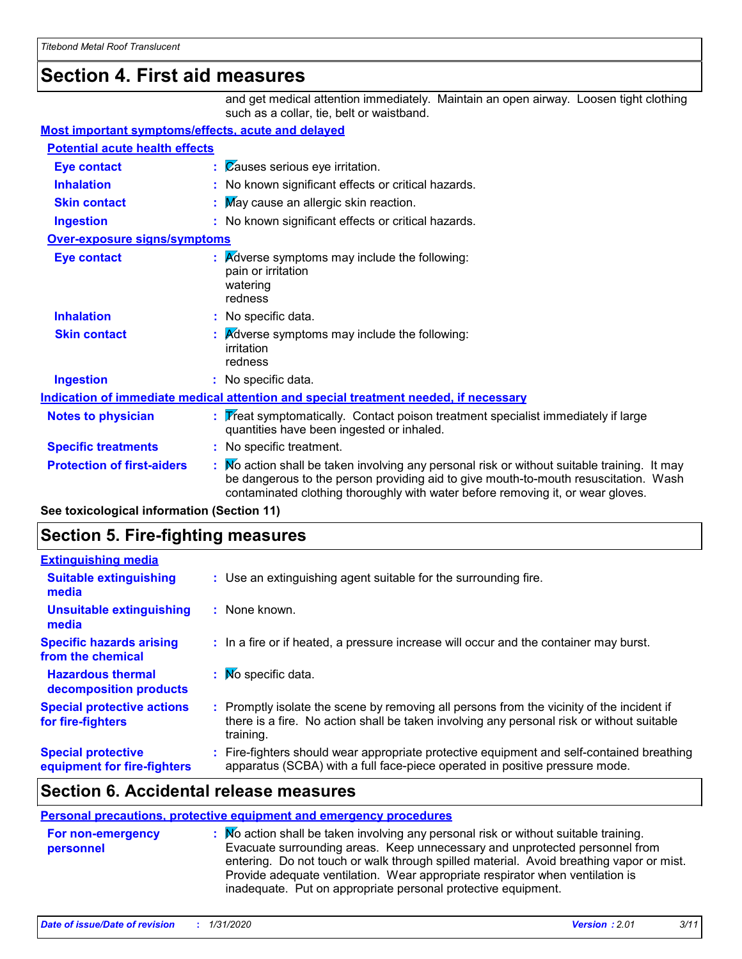### **Section 4. First aid measures**

and get medical attention immediately. Maintain an open airway. Loosen tight clothing such as a collar, tie, belt or waistband.

#### **Most important symptoms/effects, acute and delayed**

| <b>Potential acute health effects</b> |                                                                                                                                                                                                                                                                     |  |
|---------------------------------------|---------------------------------------------------------------------------------------------------------------------------------------------------------------------------------------------------------------------------------------------------------------------|--|
| <b>Eye contact</b>                    | : Causes serious eye irritation.                                                                                                                                                                                                                                    |  |
| <b>Inhalation</b>                     | : No known significant effects or critical hazards.                                                                                                                                                                                                                 |  |
| <b>Skin contact</b>                   | May cause an allergic skin reaction.                                                                                                                                                                                                                                |  |
| <b>Ingestion</b>                      | : No known significant effects or critical hazards.                                                                                                                                                                                                                 |  |
| <b>Over-exposure signs/symptoms</b>   |                                                                                                                                                                                                                                                                     |  |
| <b>Eye contact</b>                    | <b>Adverse symptoms may include the following:</b><br>pain or irritation<br>watering<br>redness                                                                                                                                                                     |  |
| <b>Inhalation</b>                     | : No specific data.                                                                                                                                                                                                                                                 |  |
| <b>Skin contact</b>                   | <b>A</b> dverse symptoms may include the following:<br>irritation<br>redness                                                                                                                                                                                        |  |
| <b>Ingestion</b>                      | : No specific data.                                                                                                                                                                                                                                                 |  |
|                                       | Indication of immediate medical attention and special treatment needed, if necessary                                                                                                                                                                                |  |
| <b>Notes to physician</b>             | Treat symptomatically. Contact poison treatment specialist immediately if large<br>quantities have been ingested or inhaled.                                                                                                                                        |  |
| <b>Specific treatments</b>            | : No specific treatment.                                                                                                                                                                                                                                            |  |
| <b>Protection of first-aiders</b>     | Mo action shall be taken involving any personal risk or without suitable training. It may<br>be dangerous to the person providing aid to give mouth-to-mouth resuscitation. Wash<br>contaminated clothing thoroughly with water before removing it, or wear gloves. |  |

**See toxicological information (Section 11)**

### **Section 5. Fire-fighting measures**

| <b>Extinguishing media</b>                               |                                                                                                                                                                                                     |
|----------------------------------------------------------|-----------------------------------------------------------------------------------------------------------------------------------------------------------------------------------------------------|
| <b>Suitable extinguishing</b><br>media                   | : Use an extinguishing agent suitable for the surrounding fire.                                                                                                                                     |
| <b>Unsuitable extinguishing</b><br>media                 | : None known.                                                                                                                                                                                       |
| <b>Specific hazards arising</b><br>from the chemical     | : In a fire or if heated, a pressure increase will occur and the container may burst.                                                                                                               |
| <b>Hazardous thermal</b><br>decomposition products       | $\mathbf{N}$ Mo specific data.                                                                                                                                                                      |
| <b>Special protective actions</b><br>for fire-fighters   | : Promptly isolate the scene by removing all persons from the vicinity of the incident if<br>there is a fire. No action shall be taken involving any personal risk or without suitable<br>training. |
| <b>Special protective</b><br>equipment for fire-fighters | : Fire-fighters should wear appropriate protective equipment and self-contained breathing<br>apparatus (SCBA) with a full face-piece operated in positive pressure mode.                            |

#### **Section 6. Accidental release measures**

#### **Personal precautions, protective equipment and emergency procedures**

| <b>For non-emergency</b><br>personnel | $\therefore$ Mo action shall be taken involving any personal risk or without suitable training.<br>Evacuate surrounding areas. Keep unnecessary and unprotected personnel from<br>entering. Do not touch or walk through spilled material. Avoid breathing vapor or mist.<br>Provide adequate ventilation. Wear appropriate respirator when ventilation is |
|---------------------------------------|------------------------------------------------------------------------------------------------------------------------------------------------------------------------------------------------------------------------------------------------------------------------------------------------------------------------------------------------------------|
|                                       | inadequate. Put on appropriate personal protective equipment.                                                                                                                                                                                                                                                                                              |
|                                       |                                                                                                                                                                                                                                                                                                                                                            |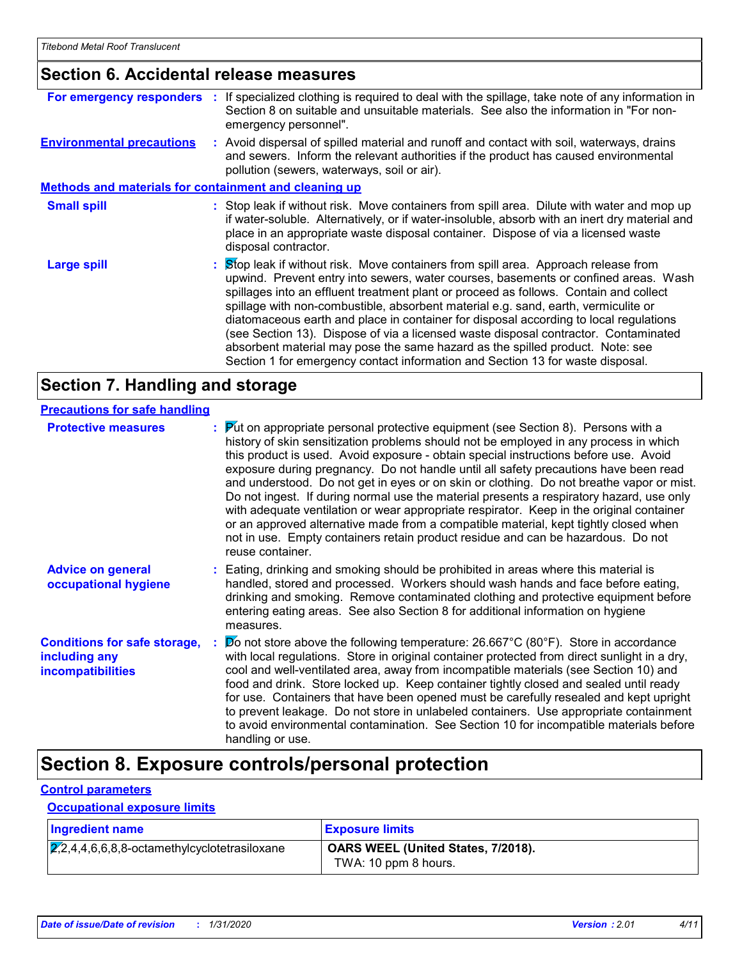#### **Section 6. Accidental release measures**

|                                                       | For emergency responders : If specialized clothing is required to deal with the spillage, take note of any information in<br>Section 8 on suitable and unsuitable materials. See also the information in "For non-<br>emergency personnel".                                                                                                                                                                                                                                                                                                                                                                                                                                                                  |
|-------------------------------------------------------|--------------------------------------------------------------------------------------------------------------------------------------------------------------------------------------------------------------------------------------------------------------------------------------------------------------------------------------------------------------------------------------------------------------------------------------------------------------------------------------------------------------------------------------------------------------------------------------------------------------------------------------------------------------------------------------------------------------|
| <b>Environmental precautions</b>                      | : Avoid dispersal of spilled material and runoff and contact with soil, waterways, drains<br>and sewers. Inform the relevant authorities if the product has caused environmental<br>pollution (sewers, waterways, soil or air).                                                                                                                                                                                                                                                                                                                                                                                                                                                                              |
| Methods and materials for containment and cleaning up |                                                                                                                                                                                                                                                                                                                                                                                                                                                                                                                                                                                                                                                                                                              |
| <b>Small spill</b>                                    | : Stop leak if without risk. Move containers from spill area. Dilute with water and mop up<br>if water-soluble. Alternatively, or if water-insoluble, absorb with an inert dry material and<br>place in an appropriate waste disposal container. Dispose of via a licensed waste<br>disposal contractor.                                                                                                                                                                                                                                                                                                                                                                                                     |
| <b>Large spill</b>                                    | : Stop leak if without risk. Move containers from spill area. Approach release from<br>upwind. Prevent entry into sewers, water courses, basements or confined areas. Wash<br>spillages into an effluent treatment plant or proceed as follows. Contain and collect<br>spillage with non-combustible, absorbent material e.g. sand, earth, vermiculite or<br>diatomaceous earth and place in container for disposal according to local regulations<br>(see Section 13). Dispose of via a licensed waste disposal contractor. Contaminated<br>absorbent material may pose the same hazard as the spilled product. Note: see<br>Section 1 for emergency contact information and Section 13 for waste disposal. |

### **Section 7. Handling and storage**

#### **Precautions for safe handling**

| <b>Protective measures</b>                                                       | $\frac{1}{2}$ Put on appropriate personal protective equipment (see Section 8). Persons with a<br>history of skin sensitization problems should not be employed in any process in which<br>this product is used. Avoid exposure - obtain special instructions before use. Avoid<br>exposure during pregnancy. Do not handle until all safety precautions have been read<br>and understood. Do not get in eyes or on skin or clothing. Do not breathe vapor or mist.<br>Do not ingest. If during normal use the material presents a respiratory hazard, use only<br>with adequate ventilation or wear appropriate respirator. Keep in the original container<br>or an approved alternative made from a compatible material, kept tightly closed when<br>not in use. Empty containers retain product residue and can be hazardous. Do not<br>reuse container. |
|----------------------------------------------------------------------------------|-------------------------------------------------------------------------------------------------------------------------------------------------------------------------------------------------------------------------------------------------------------------------------------------------------------------------------------------------------------------------------------------------------------------------------------------------------------------------------------------------------------------------------------------------------------------------------------------------------------------------------------------------------------------------------------------------------------------------------------------------------------------------------------------------------------------------------------------------------------|
| <b>Advice on general</b><br>occupational hygiene                                 | : Eating, drinking and smoking should be prohibited in areas where this material is<br>handled, stored and processed. Workers should wash hands and face before eating,<br>drinking and smoking. Remove contaminated clothing and protective equipment before<br>entering eating areas. See also Section 8 for additional information on hygiene<br>measures.                                                                                                                                                                                                                                                                                                                                                                                                                                                                                               |
| <b>Conditions for safe storage,</b><br>including any<br><i>incompatibilities</i> | $\cancel{p}$ not store above the following temperature: 26.667°C (80°F). Store in accordance<br>with local regulations. Store in original container protected from direct sunlight in a dry,<br>cool and well-ventilated area, away from incompatible materials (see Section 10) and<br>food and drink. Store locked up. Keep container tightly closed and sealed until ready<br>for use. Containers that have been opened must be carefully resealed and kept upright<br>to prevent leakage. Do not store in unlabeled containers. Use appropriate containment<br>to avoid environmental contamination. See Section 10 for incompatible materials before<br>handling or use.                                                                                                                                                                               |

### **Section 8. Exposure controls/personal protection**

#### **Control parameters**

#### **Occupational exposure limits**

| <b>Ingredient name</b>                                     | <b>Exposure limits</b>                                     |
|------------------------------------------------------------|------------------------------------------------------------|
| $\overline{2,2,4,4,6,6,8,8}$ -octamethylcyclotetrasiloxane | OARS WEEL (United States, 7/2018).<br>TWA: 10 ppm 8 hours. |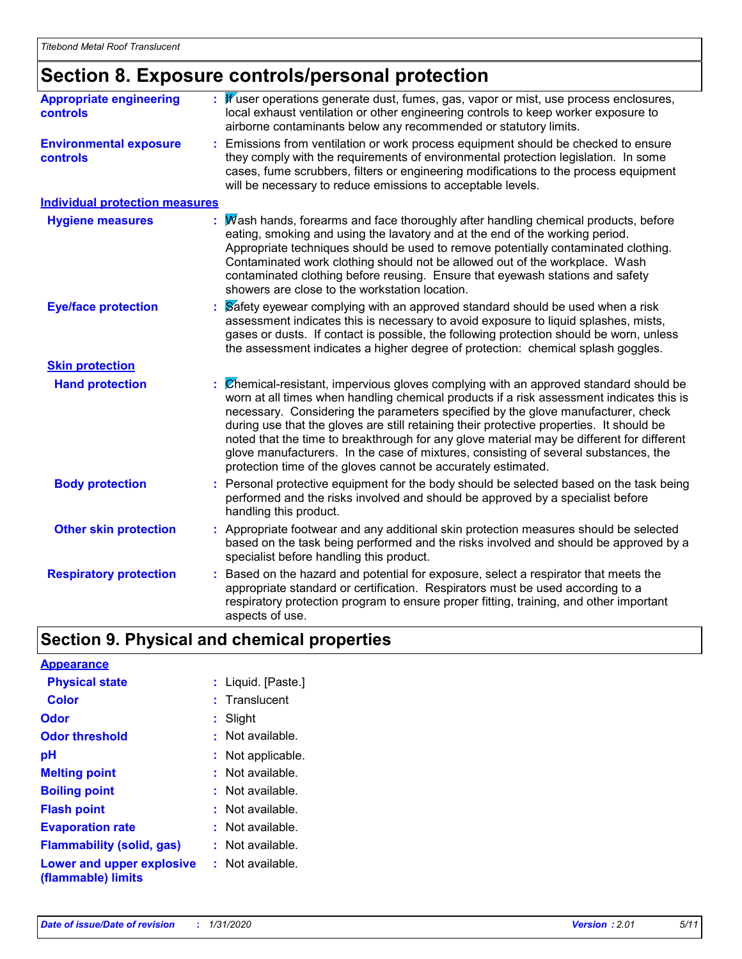### **Section 8. Exposure controls/personal protection**

| <b>Appropriate engineering</b><br>controls       | Kuser operations generate dust, fumes, gas, vapor or mist, use process enclosures,<br>local exhaust ventilation or other engineering controls to keep worker exposure to<br>airborne contaminants below any recommended or statutory limits.                                                                                                                                                                                                                                                                                                                                                                         |  |
|--------------------------------------------------|----------------------------------------------------------------------------------------------------------------------------------------------------------------------------------------------------------------------------------------------------------------------------------------------------------------------------------------------------------------------------------------------------------------------------------------------------------------------------------------------------------------------------------------------------------------------------------------------------------------------|--|
| <b>Environmental exposure</b><br><b>controls</b> | Emissions from ventilation or work process equipment should be checked to ensure<br>they comply with the requirements of environmental protection legislation. In some<br>cases, fume scrubbers, filters or engineering modifications to the process equipment<br>will be necessary to reduce emissions to acceptable levels.                                                                                                                                                                                                                                                                                        |  |
| <b>Individual protection measures</b>            |                                                                                                                                                                                                                                                                                                                                                                                                                                                                                                                                                                                                                      |  |
| <b>Hygiene measures</b>                          | Wash hands, forearms and face thoroughly after handling chemical products, before<br>eating, smoking and using the lavatory and at the end of the working period.<br>Appropriate techniques should be used to remove potentially contaminated clothing.<br>Contaminated work clothing should not be allowed out of the workplace. Wash<br>contaminated clothing before reusing. Ensure that eyewash stations and safety<br>showers are close to the workstation location.                                                                                                                                            |  |
| <b>Eye/face protection</b>                       | Safety eyewear complying with an approved standard should be used when a risk<br>assessment indicates this is necessary to avoid exposure to liquid splashes, mists,<br>gases or dusts. If contact is possible, the following protection should be worn, unless<br>the assessment indicates a higher degree of protection: chemical splash goggles.                                                                                                                                                                                                                                                                  |  |
| <b>Skin protection</b>                           |                                                                                                                                                                                                                                                                                                                                                                                                                                                                                                                                                                                                                      |  |
| <b>Hand protection</b>                           | Chemical-resistant, impervious gloves complying with an approved standard should be<br>worn at all times when handling chemical products if a risk assessment indicates this is<br>necessary. Considering the parameters specified by the glove manufacturer, check<br>during use that the gloves are still retaining their protective properties. It should be<br>noted that the time to breakthrough for any glove material may be different for different<br>glove manufacturers. In the case of mixtures, consisting of several substances, the<br>protection time of the gloves cannot be accurately estimated. |  |
| <b>Body protection</b>                           | Personal protective equipment for the body should be selected based on the task being<br>performed and the risks involved and should be approved by a specialist before<br>handling this product.                                                                                                                                                                                                                                                                                                                                                                                                                    |  |
| <b>Other skin protection</b>                     | Appropriate footwear and any additional skin protection measures should be selected<br>based on the task being performed and the risks involved and should be approved by a<br>specialist before handling this product.                                                                                                                                                                                                                                                                                                                                                                                              |  |
| <b>Respiratory protection</b>                    | Based on the hazard and potential for exposure, select a respirator that meets the<br>appropriate standard or certification. Respirators must be used according to a<br>respiratory protection program to ensure proper fitting, training, and other important<br>aspects of use.                                                                                                                                                                                                                                                                                                                                    |  |

### **Section 9. Physical and chemical properties**

| <b>Appearance</b>                               |                        |
|-------------------------------------------------|------------------------|
| <b>Physical state</b>                           | : Liquid. [Paste.]     |
| Color                                           | $:$ Translucent        |
| Odor                                            | : Slight               |
| <b>Odor threshold</b>                           | $\cdot$ Not available. |
| рH                                              | : Not applicable.      |
| <b>Melting point</b>                            | : Not available.       |
| <b>Boiling point</b>                            | $:$ Not available.     |
| <b>Flash point</b>                              | $:$ Not available.     |
| <b>Evaporation rate</b>                         | : Not available.       |
| <b>Flammability (solid, gas)</b>                | : Not available.       |
| Lower and upper explosive<br>(flammable) limits | : Not available.       |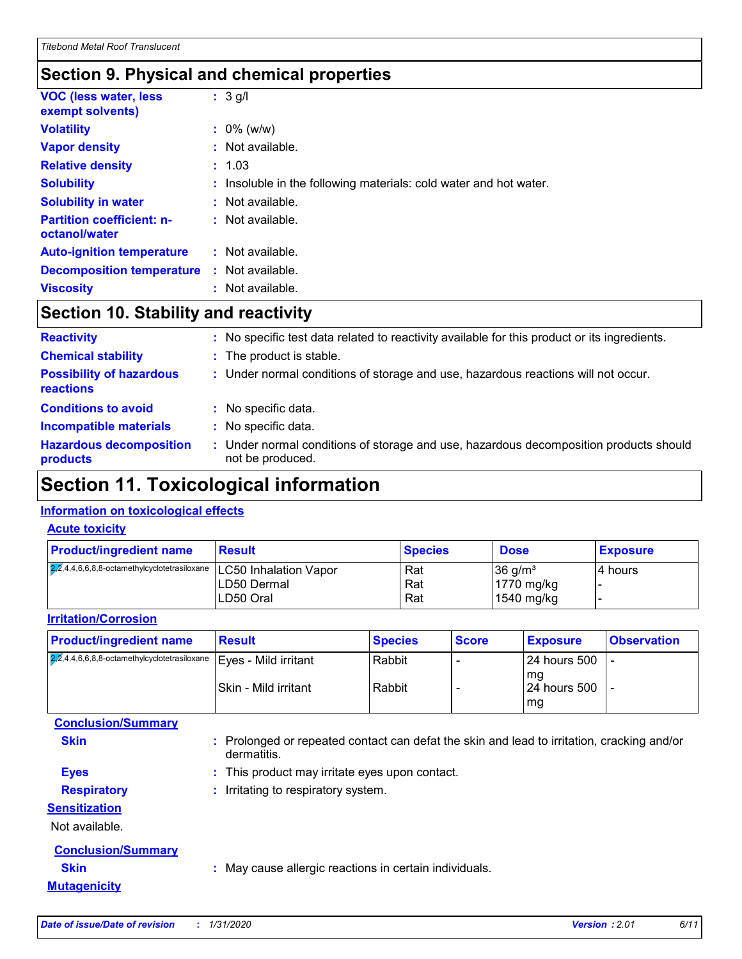### **Section 9. Physical and chemical properties**

| <b>VOC (less water, less)</b><br>exempt solvents) | $: 3$ g/l                                                         |
|---------------------------------------------------|-------------------------------------------------------------------|
| <b>Volatility</b>                                 | $: 0\%$ (w/w)                                                     |
| <b>Vapor density</b>                              | $:$ Not available.                                                |
| <b>Relative density</b>                           | : 1.03                                                            |
| <b>Solubility</b>                                 | : Insoluble in the following materials: cold water and hot water. |
| <b>Solubility in water</b>                        | : Not available.                                                  |
| <b>Partition coefficient: n-</b><br>octanol/water | : Not available.                                                  |
| <b>Auto-ignition temperature</b>                  | : Not available.                                                  |
| <b>Decomposition temperature</b>                  | : Not available.                                                  |
| <b>Viscosity</b>                                  | : Not available.                                                  |

### **Section 10. Stability and reactivity**

| <b>Reactivity</b>                            | : No specific test data related to reactivity available for this product or its ingredients.            |
|----------------------------------------------|---------------------------------------------------------------------------------------------------------|
| <b>Chemical stability</b>                    | : The product is stable.                                                                                |
| <b>Possibility of hazardous</b><br>reactions | : Under normal conditions of storage and use, hazardous reactions will not occur.                       |
| <b>Conditions to avoid</b>                   | : No specific data.                                                                                     |
| <b>Incompatible materials</b>                | : No specific data.                                                                                     |
| <b>Hazardous decomposition</b><br>products   | Under normal conditions of storage and use, hazardous decomposition products should<br>not be produced. |

### **Section 11. Toxicological information**

#### **Information on toxicological effects**

#### **Acute toxicity**

| <b>Product/ingredient name</b>                                       | <b>Result</b> | <b>Species</b> | <b>Dose</b>           | <b>Exposure</b> |
|----------------------------------------------------------------------|---------------|----------------|-----------------------|-----------------|
| 2,2,4,4,6,6,8,8-octamethylcyclotetrasiloxane   LC50 Inhalation Vapor |               | Rat            | $36$ g/m <sup>3</sup> | 14 hours        |
|                                                                      | LD50 Dermal   | Rat            | 1770 mg/kg            |                 |
|                                                                      | LD50 Oral     | Rat            | $1540$ mg/kg          |                 |

#### **Irritation/Corrosion**

| <b>Product/ingredient name</b>                                             | Result                | <b>Species</b>   | <b>Score</b> | <b>Exposure</b>                                  | <b>Observation</b> |
|----------------------------------------------------------------------------|-----------------------|------------------|--------------|--------------------------------------------------|--------------------|
| $2,4,4,6,6,8,8$ -octamethylcyclotetrasiloxane $\vert$ Eyes - Mild irritant | ISkin - Mild irritant | Rabbit<br>Rabbit |              | l 24 hours 500<br>l ma<br>l 24 hours 500<br>l ma |                    |
| <b>Conclusion/Summary</b>                                                  |                       |                  |              |                                                  |                    |

| <b>Skin</b>               | : Prolonged or repeated contact can defat the skin and lead to irritation, cracking and/or<br>dermatitis. |
|---------------------------|-----------------------------------------------------------------------------------------------------------|
| <b>Eyes</b>               | : This product may irritate eyes upon contact.                                                            |
| <b>Respiratory</b>        | : Irritating to respiratory system.                                                                       |
| <b>Sensitization</b>      |                                                                                                           |
| Not available.            |                                                                                                           |
| <b>Conclusion/Summary</b> |                                                                                                           |
| <b>Skin</b>               | : May cause allergic reactions in certain individuals.                                                    |
| <b>Mutagenicity</b>       |                                                                                                           |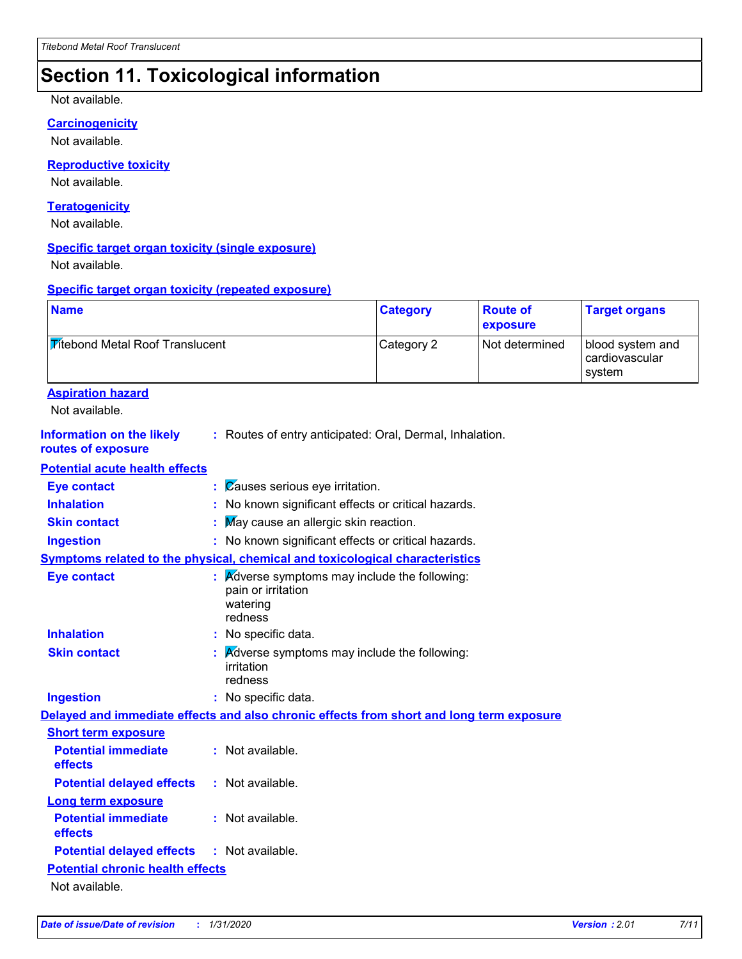### **Section 11. Toxicological information**

Not available.

#### **Carcinogenicity**

Not available.

#### **Reproductive toxicity**

Not available.

#### **Teratogenicity**

Not available.

#### **Specific target organ toxicity (single exposure)**

Not available.

#### **Specific target organ toxicity (repeated exposure)**

| <b>Titebond Metal Roof Translucent</b><br>Category 2<br>Not determined<br>blood system and<br>cardiovascular<br>system<br><b>Aspiration hazard</b><br>Not available.<br><b>Information on the likely</b><br>: Routes of entry anticipated: Oral, Dermal, Inhalation.<br>routes of exposure<br><b>Potential acute health effects</b><br>Causes serious eye irritation.<br><b>Eye contact</b><br>÷<br><b>Inhalation</b><br>: No known significant effects or critical hazards.<br>May cause an allergic skin reaction.<br><b>Skin contact</b><br>: No known significant effects or critical hazards.<br><b>Ingestion</b><br>Symptoms related to the physical, chemical and toxicological characteristics<br><b>Eye contact</b><br>Adverse symptoms may include the following:<br>pain or irritation<br>watering<br>redness<br><b>Inhalation</b><br>No specific data.<br><b>Skin contact</b><br>Adverse symptoms may include the following:<br>irritation<br>redness<br>: No specific data.<br><b>Ingestion</b><br>Delayed and immediate effects and also chronic effects from short and long term exposure<br><b>Short term exposure</b><br><b>Potential immediate</b><br>: Not available.<br>effects<br>: Not available.<br><b>Potential delayed effects</b><br><b>Long term exposure</b><br><b>Potential immediate</b><br>: Not available.<br>effects<br><b>Potential delayed effects</b><br>: Not available.<br><b>Potential chronic health effects</b><br>Not available. | <b>Name</b> |  | <b>Category</b> | <b>Route of</b><br>exposure | <b>Target organs</b> |
|----------------------------------------------------------------------------------------------------------------------------------------------------------------------------------------------------------------------------------------------------------------------------------------------------------------------------------------------------------------------------------------------------------------------------------------------------------------------------------------------------------------------------------------------------------------------------------------------------------------------------------------------------------------------------------------------------------------------------------------------------------------------------------------------------------------------------------------------------------------------------------------------------------------------------------------------------------------------------------------------------------------------------------------------------------------------------------------------------------------------------------------------------------------------------------------------------------------------------------------------------------------------------------------------------------------------------------------------------------------------------------------------------------------------------------------------------------------------------|-------------|--|-----------------|-----------------------------|----------------------|
|                                                                                                                                                                                                                                                                                                                                                                                                                                                                                                                                                                                                                                                                                                                                                                                                                                                                                                                                                                                                                                                                                                                                                                                                                                                                                                                                                                                                                                                                            |             |  |                 |                             |                      |
|                                                                                                                                                                                                                                                                                                                                                                                                                                                                                                                                                                                                                                                                                                                                                                                                                                                                                                                                                                                                                                                                                                                                                                                                                                                                                                                                                                                                                                                                            |             |  |                 |                             |                      |
|                                                                                                                                                                                                                                                                                                                                                                                                                                                                                                                                                                                                                                                                                                                                                                                                                                                                                                                                                                                                                                                                                                                                                                                                                                                                                                                                                                                                                                                                            |             |  |                 |                             |                      |
|                                                                                                                                                                                                                                                                                                                                                                                                                                                                                                                                                                                                                                                                                                                                                                                                                                                                                                                                                                                                                                                                                                                                                                                                                                                                                                                                                                                                                                                                            |             |  |                 |                             |                      |
|                                                                                                                                                                                                                                                                                                                                                                                                                                                                                                                                                                                                                                                                                                                                                                                                                                                                                                                                                                                                                                                                                                                                                                                                                                                                                                                                                                                                                                                                            |             |  |                 |                             |                      |
|                                                                                                                                                                                                                                                                                                                                                                                                                                                                                                                                                                                                                                                                                                                                                                                                                                                                                                                                                                                                                                                                                                                                                                                                                                                                                                                                                                                                                                                                            |             |  |                 |                             |                      |
|                                                                                                                                                                                                                                                                                                                                                                                                                                                                                                                                                                                                                                                                                                                                                                                                                                                                                                                                                                                                                                                                                                                                                                                                                                                                                                                                                                                                                                                                            |             |  |                 |                             |                      |
|                                                                                                                                                                                                                                                                                                                                                                                                                                                                                                                                                                                                                                                                                                                                                                                                                                                                                                                                                                                                                                                                                                                                                                                                                                                                                                                                                                                                                                                                            |             |  |                 |                             |                      |
|                                                                                                                                                                                                                                                                                                                                                                                                                                                                                                                                                                                                                                                                                                                                                                                                                                                                                                                                                                                                                                                                                                                                                                                                                                                                                                                                                                                                                                                                            |             |  |                 |                             |                      |
|                                                                                                                                                                                                                                                                                                                                                                                                                                                                                                                                                                                                                                                                                                                                                                                                                                                                                                                                                                                                                                                                                                                                                                                                                                                                                                                                                                                                                                                                            |             |  |                 |                             |                      |
|                                                                                                                                                                                                                                                                                                                                                                                                                                                                                                                                                                                                                                                                                                                                                                                                                                                                                                                                                                                                                                                                                                                                                                                                                                                                                                                                                                                                                                                                            |             |  |                 |                             |                      |
|                                                                                                                                                                                                                                                                                                                                                                                                                                                                                                                                                                                                                                                                                                                                                                                                                                                                                                                                                                                                                                                                                                                                                                                                                                                                                                                                                                                                                                                                            |             |  |                 |                             |                      |
|                                                                                                                                                                                                                                                                                                                                                                                                                                                                                                                                                                                                                                                                                                                                                                                                                                                                                                                                                                                                                                                                                                                                                                                                                                                                                                                                                                                                                                                                            |             |  |                 |                             |                      |
|                                                                                                                                                                                                                                                                                                                                                                                                                                                                                                                                                                                                                                                                                                                                                                                                                                                                                                                                                                                                                                                                                                                                                                                                                                                                                                                                                                                                                                                                            |             |  |                 |                             |                      |
|                                                                                                                                                                                                                                                                                                                                                                                                                                                                                                                                                                                                                                                                                                                                                                                                                                                                                                                                                                                                                                                                                                                                                                                                                                                                                                                                                                                                                                                                            |             |  |                 |                             |                      |
|                                                                                                                                                                                                                                                                                                                                                                                                                                                                                                                                                                                                                                                                                                                                                                                                                                                                                                                                                                                                                                                                                                                                                                                                                                                                                                                                                                                                                                                                            |             |  |                 |                             |                      |
|                                                                                                                                                                                                                                                                                                                                                                                                                                                                                                                                                                                                                                                                                                                                                                                                                                                                                                                                                                                                                                                                                                                                                                                                                                                                                                                                                                                                                                                                            |             |  |                 |                             |                      |
|                                                                                                                                                                                                                                                                                                                                                                                                                                                                                                                                                                                                                                                                                                                                                                                                                                                                                                                                                                                                                                                                                                                                                                                                                                                                                                                                                                                                                                                                            |             |  |                 |                             |                      |
|                                                                                                                                                                                                                                                                                                                                                                                                                                                                                                                                                                                                                                                                                                                                                                                                                                                                                                                                                                                                                                                                                                                                                                                                                                                                                                                                                                                                                                                                            |             |  |                 |                             |                      |
|                                                                                                                                                                                                                                                                                                                                                                                                                                                                                                                                                                                                                                                                                                                                                                                                                                                                                                                                                                                                                                                                                                                                                                                                                                                                                                                                                                                                                                                                            |             |  |                 |                             |                      |
|                                                                                                                                                                                                                                                                                                                                                                                                                                                                                                                                                                                                                                                                                                                                                                                                                                                                                                                                                                                                                                                                                                                                                                                                                                                                                                                                                                                                                                                                            |             |  |                 |                             |                      |
|                                                                                                                                                                                                                                                                                                                                                                                                                                                                                                                                                                                                                                                                                                                                                                                                                                                                                                                                                                                                                                                                                                                                                                                                                                                                                                                                                                                                                                                                            |             |  |                 |                             |                      |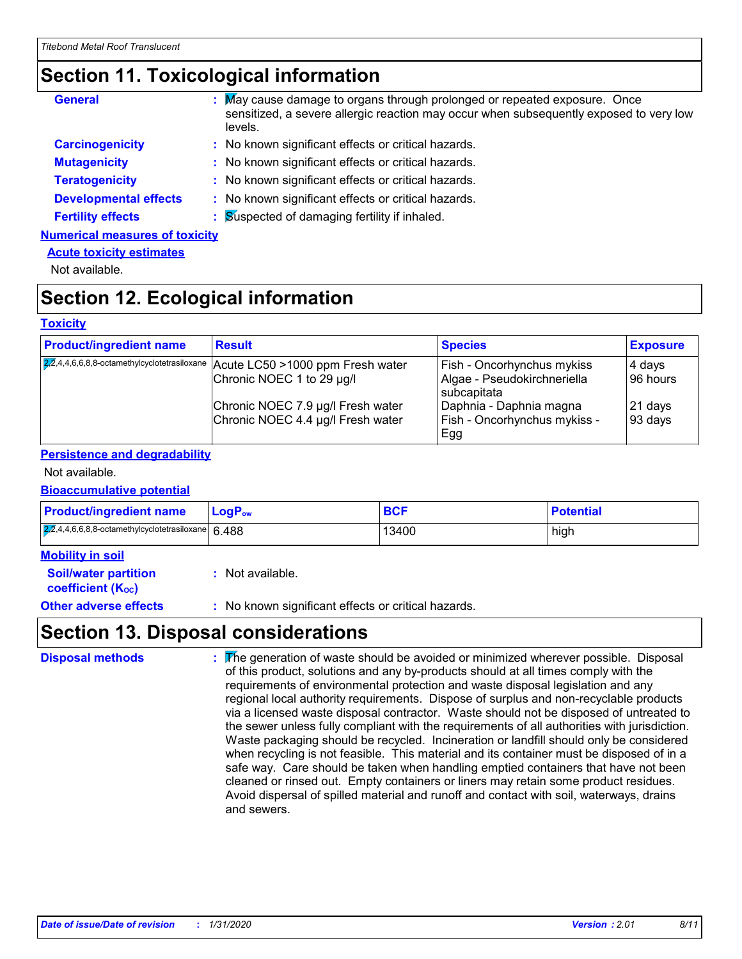### **Section 11. Toxicological information**

| <b>General</b>                        | : May cause damage to organs through prolonged or repeated exposure. Once<br>sensitized, a severe allergic reaction may occur when subsequently exposed to very low<br>levels. |
|---------------------------------------|--------------------------------------------------------------------------------------------------------------------------------------------------------------------------------|
| <b>Carcinogenicity</b>                | : No known significant effects or critical hazards.                                                                                                                            |
| <b>Mutagenicity</b>                   | : No known significant effects or critical hazards.                                                                                                                            |
| <b>Teratogenicity</b>                 | : No known significant effects or critical hazards.                                                                                                                            |
| <b>Developmental effects</b>          | : No known significant effects or critical hazards.                                                                                                                            |
| <b>Fertility effects</b>              | : Suspected of damaging fertility if inhaled.                                                                                                                                  |
| <b>Numerical measures of toxicity</b> |                                                                                                                                                                                |

#### **Acute toxicity estimates**

Not available.

### **Section 12. Ecological information**

#### **Toxicity**

| <b>Product/ingredient name</b> | <b>Result</b>                                                                 | <b>Species</b>                                          | <b>Exposure</b>    |
|--------------------------------|-------------------------------------------------------------------------------|---------------------------------------------------------|--------------------|
|                                | 22,4,4,6,6,8,8-octamethylcyclotetrasiloxane Acute LC50 > 1000 ppm Fresh water | <b>Fish - Oncorhynchus mykiss</b>                       | 4 days             |
|                                | Chronic NOEC 1 to 29 µg/l                                                     | Algae - Pseudokirchneriella<br>subcapitata              | 96 hours           |
|                                | Chronic NOEC 7.9 µg/l Fresh water<br>Chronic NOEC 4.4 µg/l Fresh water        | Daphnia - Daphnia magna<br>Fish - Oncorhynchus mykiss - | 21 days<br>93 days |
|                                |                                                                               | ∣Egg                                                    |                    |

#### **Persistence and degradability**

#### Not available.

#### **Bioaccumulative potential**

| <b>Product/ingredient name</b>                        | <b>LogP</b> <sub>ow</sub> | <b>BCF</b> | <b>Potential</b> |
|-------------------------------------------------------|---------------------------|------------|------------------|
| $2,2,4,4,6,6,8,8$ -octamethylcyclotetrasiloxane 6.488 |                           | 13400      | high             |

| <b>Mobility in soil</b>                                       |                                                     |
|---------------------------------------------------------------|-----------------------------------------------------|
| <b>Soil/water partition</b><br>coefficient (K <sub>oc</sub> ) | : Not available.                                    |
| <b>Other adverse effects</b>                                  | : No known significant effects or critical hazards. |

### **Section 13. Disposal considerations**

| <b>Disposal methods</b> | The generation of waste should be avoided or minimized wherever possible. Disposal<br>of this product, solutions and any by-products should at all times comply with the<br>requirements of environmental protection and waste disposal legislation and any<br>regional local authority requirements. Dispose of surplus and non-recyclable products<br>via a licensed waste disposal contractor. Waste should not be disposed of untreated to<br>the sewer unless fully compliant with the requirements of all authorities with jurisdiction.<br>Waste packaging should be recycled. Incineration or landfill should only be considered<br>when recycling is not feasible. This material and its container must be disposed of in a<br>safe way. Care should be taken when handling emptied containers that have not been<br>cleaned or rinsed out. Empty containers or liners may retain some product residues.<br>Avoid dispersal of spilled material and runoff and contact with soil, waterways, drains<br>and sewers. |
|-------------------------|-----------------------------------------------------------------------------------------------------------------------------------------------------------------------------------------------------------------------------------------------------------------------------------------------------------------------------------------------------------------------------------------------------------------------------------------------------------------------------------------------------------------------------------------------------------------------------------------------------------------------------------------------------------------------------------------------------------------------------------------------------------------------------------------------------------------------------------------------------------------------------------------------------------------------------------------------------------------------------------------------------------------------------|
|-------------------------|-----------------------------------------------------------------------------------------------------------------------------------------------------------------------------------------------------------------------------------------------------------------------------------------------------------------------------------------------------------------------------------------------------------------------------------------------------------------------------------------------------------------------------------------------------------------------------------------------------------------------------------------------------------------------------------------------------------------------------------------------------------------------------------------------------------------------------------------------------------------------------------------------------------------------------------------------------------------------------------------------------------------------------|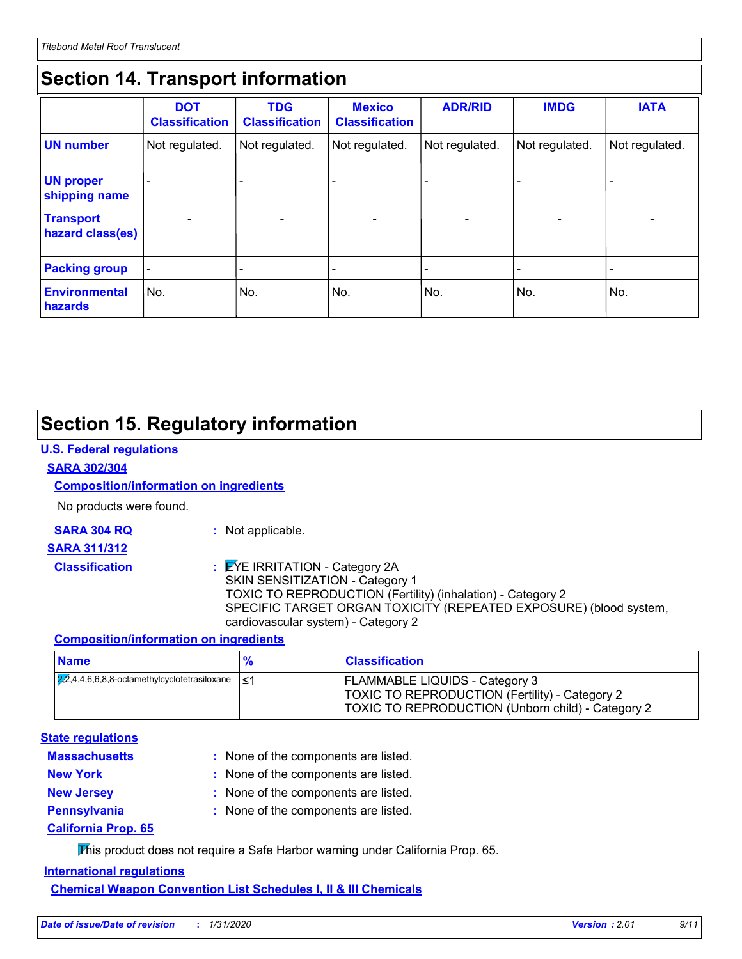### **Section 14. Transport information**

|                                      | <b>DOT</b><br><b>Classification</b> | <b>TDG</b><br><b>Classification</b> | <b>Mexico</b><br><b>Classification</b> | <b>ADR/RID</b> | <b>IMDG</b>                  | <b>IATA</b>     |
|--------------------------------------|-------------------------------------|-------------------------------------|----------------------------------------|----------------|------------------------------|-----------------|
| <b>UN number</b>                     | Not regulated.                      | Not regulated.                      | Not regulated.                         | Not regulated. | Not regulated.               | Not regulated.  |
| <b>UN proper</b><br>shipping name    |                                     |                                     |                                        |                |                              |                 |
| <b>Transport</b><br>hazard class(es) |                                     | $\overline{\phantom{0}}$            | $\overline{\phantom{a}}$               | -              | $\qquad \qquad \blacksquare$ | $\qquad \qquad$ |
| <b>Packing group</b>                 |                                     |                                     |                                        |                |                              |                 |
| <b>Environmental</b><br>hazards      | No.                                 | No.                                 | No.                                    | No.            | No.                          | No.             |

### **Section 15. Regulatory information**

#### **U.S. Federal regulations**

#### **SARA 302/304**

#### **Composition/information on ingredients**

No products were found.

**SARA 304 RQ :** Not applicable.

#### **SARA 311/312**

- 
- 

#### **Classification :** EYE IRRITATION - Category 2A SKIN SENSITIZATION - Category 1 TOXIC TO REPRODUCTION (Fertility) (inhalation) - Category 2 SPECIFIC TARGET ORGAN TOXICITY (REPEATED EXPOSURE) (blood system, cardiovascular system) - Category 2

#### **Composition/information on ingredients**

| <b>Name</b>                                                           | $\frac{9}{6}$ | <b>Classification</b>                                                                                                                               |
|-----------------------------------------------------------------------|---------------|-----------------------------------------------------------------------------------------------------------------------------------------------------|
| $\sqrt{2,2}$ ,4,4,6,6,8,8-octamethylcyclotetrasiloxane $\vert \leq 1$ |               | <b>FLAMMABLE LIQUIDS - Category 3</b><br><b>TOXIC TO REPRODUCTION (Fertility) - Category 2</b><br>TOXIC TO REPRODUCTION (Unborn child) - Category 2 |

#### **State regulations**

| <b>Massachusetts</b>       | : None of the components are listed. |
|----------------------------|--------------------------------------|
| <b>New York</b>            | : None of the components are listed. |
| <b>New Jersey</b>          | : None of the components are listed. |
| <b>Pennsylvania</b>        | : None of the components are listed. |
| <u>California Prop. 65</u> |                                      |

This product does not require a Safe Harbor warning under California Prop. 65.

#### **International regulations**

**Chemical Weapon Convention List Schedules I, II & III Chemicals**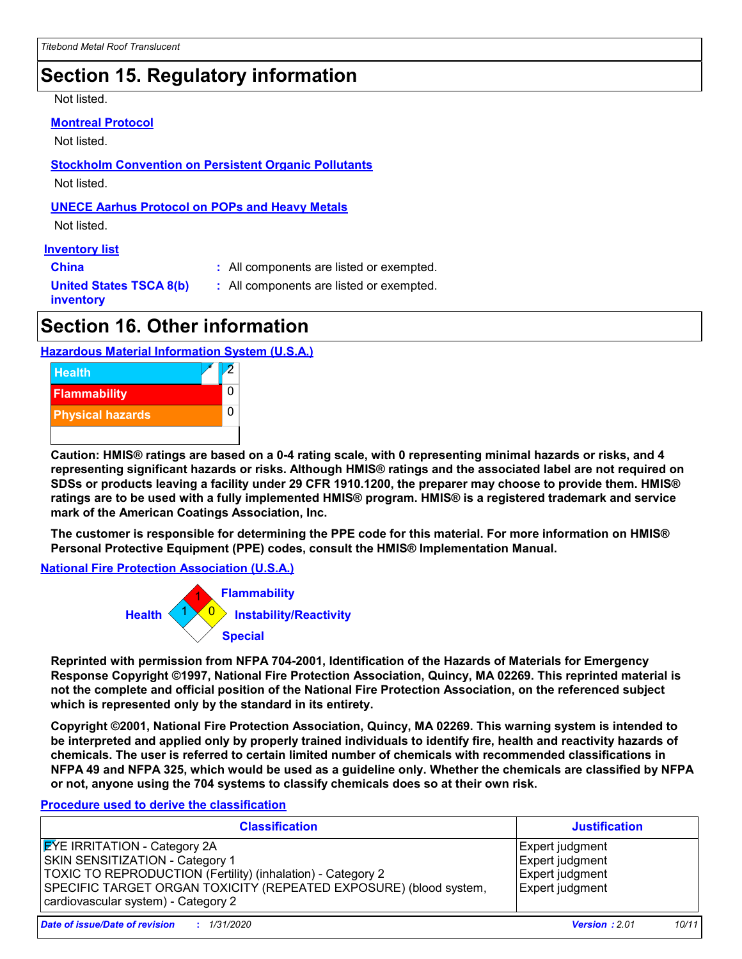### **Section 15. Regulatory information**

Not listed.

#### **Montreal Protocol**

Not listed.

**Stockholm Convention on Persistent Organic Pollutants**

Not listed.

#### **UNECE Aarhus Protocol on POPs and Heavy Metals**

Not listed.

#### **Inventory list**

**China :** All components are listed or exempted.

**United States TSCA 8(b) inventory**

**:** All components are listed or exempted.

**Section 16. Other information**

#### **Hazardous Material Information System (U.S.A.)**



**Caution: HMIS® ratings are based on a 0-4 rating scale, with 0 representing minimal hazards or risks, and 4 representing significant hazards or risks. Although HMIS® ratings and the associated label are not required on SDSs or products leaving a facility under 29 CFR 1910.1200, the preparer may choose to provide them. HMIS® ratings are to be used with a fully implemented HMIS® program. HMIS® is a registered trademark and service mark of the American Coatings Association, Inc.**

**The customer is responsible for determining the PPE code for this material. For more information on HMIS® Personal Protective Equipment (PPE) codes, consult the HMIS® Implementation Manual.**

**National Fire Protection Association (U.S.A.)**



**Reprinted with permission from NFPA 704-2001, Identification of the Hazards of Materials for Emergency Response Copyright ©1997, National Fire Protection Association, Quincy, MA 02269. This reprinted material is not the complete and official position of the National Fire Protection Association, on the referenced subject which is represented only by the standard in its entirety.**

**Copyright ©2001, National Fire Protection Association, Quincy, MA 02269. This warning system is intended to be interpreted and applied only by properly trained individuals to identify fire, health and reactivity hazards of chemicals. The user is referred to certain limited number of chemicals with recommended classifications in NFPA 49 and NFPA 325, which would be used as a guideline only. Whether the chemicals are classified by NFPA or not, anyone using the 704 systems to classify chemicals does so at their own risk.**

#### **Procedure used to derive the classification**

| <b>Classification</b>                                                                                                                                                                                                                                    | <b>Justification</b>                                                            |
|----------------------------------------------------------------------------------------------------------------------------------------------------------------------------------------------------------------------------------------------------------|---------------------------------------------------------------------------------|
| <b>EYE IRRITATION - Category 2A</b><br><b>SKIN SENSITIZATION - Category 1</b><br>TOXIC TO REPRODUCTION (Fertility) (inhalation) - Category 2<br>SPECIFIC TARGET ORGAN TOXICITY (REPEATED EXPOSURE) (blood system,<br>cardiovascular system) - Category 2 | Expert judgment<br>Expert judgment<br><b>Expert judgment</b><br>Expert judgment |